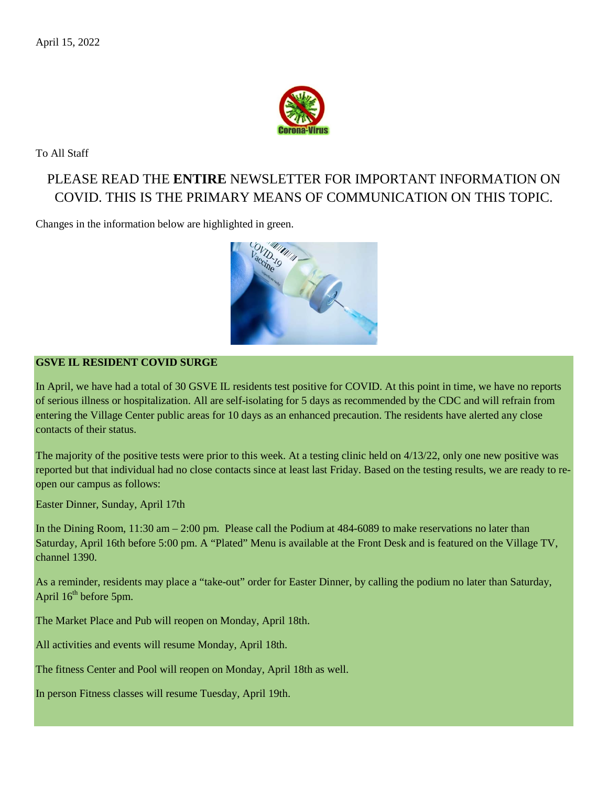

To All Staff

# PLEASE READ THE **ENTIRE** NEWSLETTER FOR IMPORTANT INFORMATION ON COVID. THIS IS THE PRIMARY MEANS OF COMMUNICATION ON THIS TOPIC.

Changes in the information below are highlighted in green.



### **GSVE IL RESIDENT COVID SURGE**

In April, we have had a total of 30 GSVE IL residents test positive for COVID. At this point in time, we have no reports of serious illness or hospitalization. All are self-isolating for 5 days as recommended by the CDC and will refrain from entering the Village Center public areas for 10 days as an enhanced precaution. The residents have alerted any close contacts of their status.

The majority of the positive tests were prior to this week. At a testing clinic held on 4/13/22, only one new positive was reported but that individual had no close contacts since at least last Friday. Based on the testing results, we are ready to reopen our campus as follows:

Easter Dinner, Sunday, April 17th

In the Dining Room, 11:30 am – 2:00 pm. Please call the Podium at 484-6089 to make reservations no later than Saturday, April 16th before 5:00 pm. A "Plated" Menu is available at the Front Desk and is featured on the Village TV, channel 1390.

As a reminder, residents may place a "take-out" order for Easter Dinner, by calling the podium no later than Saturday, April  $16<sup>th</sup>$  before 5pm.

The Market Place and Pub will reopen on Monday, April 18th.

All activities and events will resume Monday, April 18th.

The fitness Center and Pool will reopen on Monday, April 18th as well.

In person Fitness classes will resume Tuesday, April 19th.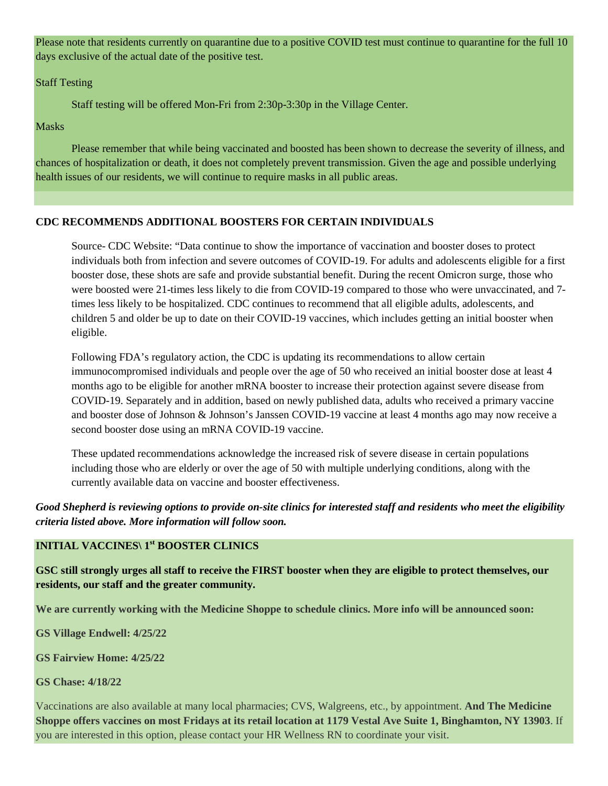Please note that residents currently on quarantine due to a positive COVID test must continue to quarantine for the full 10 days exclusive of the actual date of the positive test.

Staff Testing

Staff testing will be offered Mon-Fri from 2:30p-3:30p in the Village Center.

Masks

Please remember that while being vaccinated and boosted has been shown to decrease the severity of illness, and chances of hospitalization or death, it does not completely prevent transmission. Given the age and possible underlying health issues of our residents, we will continue to require masks in all public areas.

### **CDC RECOMMENDS ADDITIONAL BOOSTERS FOR CERTAIN INDIVIDUALS**

Source- CDC Website: "Data continue to show the importance of vaccination and booster doses to protect individuals both from infection and severe outcomes of COVID-19. For adults and adolescents eligible for a first booster dose, these shots are safe and provide substantial benefit. During the recent Omicron surge, those who were boosted were 21-times less likely to die from COVID-19 compared to those who were unvaccinated, and 7 times less likely to be hospitalized. CDC continues to recommend that all eligible adults, adolescents, and children 5 and older be up to date on their COVID-19 vaccines, which includes getting an initial booster when eligible.

Following [FDA's regulatory action,](https://www.fda.gov/news-events/press-announcements/coronavirus-covid-19-update-fda-authorizes-second-booster-dose-two-covid-19-vaccines-older-and) the CDC is updating its recommendations to allow certain immunocompromised individuals and people over the age of 50 who received an initial booster dose at least 4 months ago to be eligible for another mRNA booster to increase their protection against severe disease from COVID-19. Separately and in addition, based on [newly published data,](https://www.cdc.gov/mmwr/volumes/71/wr/mm7113e2.htm?s_cid=mm7113e2_w) adults who received a primary vaccine and booster dose of Johnson & Johnson's Janssen COVID-19 vaccine at least 4 months ago may now receive a second booster dose using an mRNA COVID-19 vaccine.

These updated recommendations acknowledge the increased risk of severe disease in certain populations including those who are elderly or over the age of 50 with multiple underlying conditions, along with the currently available data on vaccine and booster effectiveness.

*Good Shepherd is reviewing options to provide on-site clinics for interested staff and residents who meet the eligibility criteria listed above. More information will follow soon.*

#### **INITIAL VACCINES\ 1st BOOSTER CLINICS**

**GSC still strongly urges all staff to receive the FIRST booster when they are eligible to protect themselves, our residents, our staff and the greater community.**

**We are currently working with the Medicine Shoppe to schedule clinics. More info will be announced soon:**

**GS Village Endwell: 4/25/22**

**GS Fairview Home: 4/25/22**

**GS Chase: 4/18/22**

Vaccinations are also available at many local pharmacies; CVS, Walgreens, etc., by appointment. **And The Medicine Shoppe offers vaccines on most Fridays at its retail location at 1179 Vestal Ave Suite 1, Binghamton, NY 13903**. If you are interested in this option, please contact your HR Wellness RN to coordinate your visit.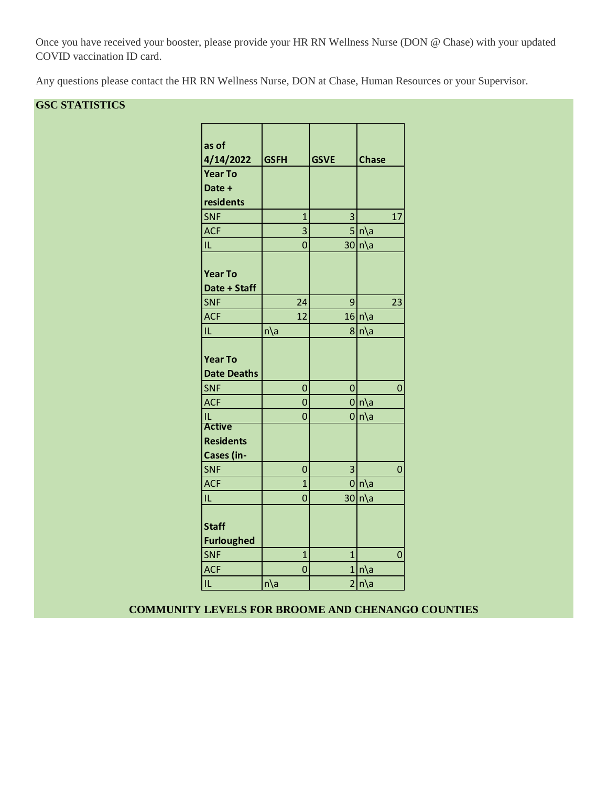Once you have received your booster, please provide your HR RN Wellness Nurse (DON @ Chase) with your updated COVID vaccination ID card.

Any questions please contact the HR RN Wellness Nurse, DON at Chase, Human Resources or your Supervisor.

### **GSC STATISTICS**

| as of              |                |                |                 |
|--------------------|----------------|----------------|-----------------|
| 4/14/2022          | <b>GSFH</b>    | <b>GSVE</b>    | <b>Chase</b>    |
| <b>Year To</b>     |                |                |                 |
| Date +             |                |                |                 |
| residents          |                |                |                 |
| <b>SNF</b>         | $\overline{1}$ | 3              | 17              |
| <b>ACF</b>         | 3              |                | $5 n\rangle$ a  |
| IL                 | $\overline{0}$ |                | 30 n a          |
|                    |                |                |                 |
| <b>Year To</b>     |                |                |                 |
| Date + Staff       |                |                |                 |
| <b>SNF</b>         | 24             | 9              | 23              |
| <b>ACF</b>         | 12             |                | $16 n\rangle$ a |
| IL                 | $n\$ a         |                | 8 n\a           |
|                    |                |                |                 |
| <b>Year To</b>     |                |                |                 |
| <b>Date Deaths</b> |                |                |                 |
| <b>SNF</b>         | $\mathbf 0$    | $\mathbf 0$    | 0               |
| <b>ACF</b>         | $\overline{0}$ |                | $0 n\rangle$ a  |
| IL                 | 0              |                | $0 n\rangle$ a  |
| <b>Active</b>      |                |                |                 |
| <b>Residents</b>   |                |                |                 |
| Cases (in-         |                |                |                 |
| <b>SNF</b>         | $\mathbf 0$    | 3              | 0               |
| <b>ACF</b>         | $\overline{1}$ |                | $0 n\rangle$ a  |
| IL                 | $\overline{0}$ |                | $30 n\rangle$ a |
|                    |                |                |                 |
| <b>Staff</b>       |                |                |                 |
| <b>Furloughed</b>  |                |                |                 |
| <b>SNF</b>         | $\overline{1}$ | 1              | 0               |
| <b>ACF</b>         | $\overline{0}$ |                | 1 n a           |
| IL                 | $n\$ a         | $\overline{2}$ | $n\$ a          |
|                    |                |                |                 |

### **COMMUNITY LEVELS FOR BROOME AND CHENANGO COUNTIES**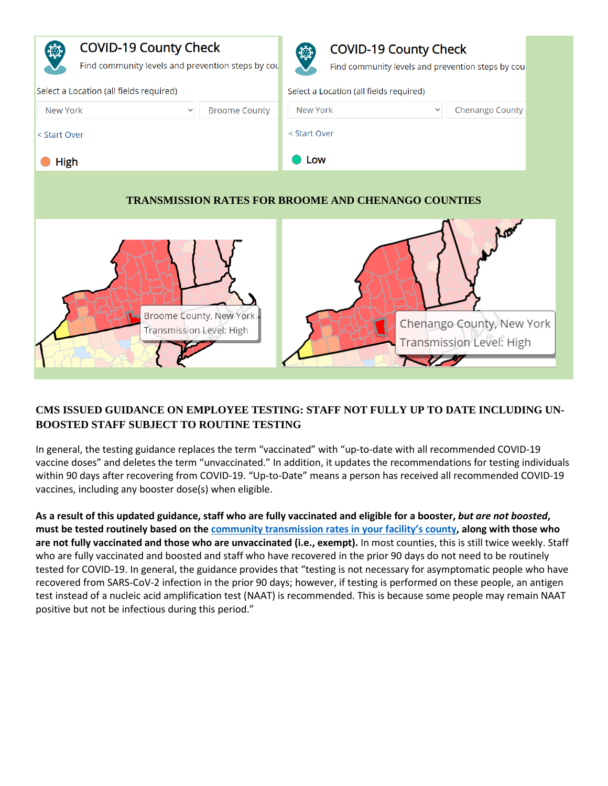

### **CMS ISSUED GUIDANCE ON EMPLOYEE TESTING: STAFF NOT FULLY UP TO DATE INCLUDING UN-BOOSTED STAFF SUBJECT TO ROUTINE TESTING**

In general, the testing guidance replaces the term "vaccinated" with "up-to-date with all recommended COVID-19 vaccine doses" and deletes the term "unvaccinated." In addition, it updates the recommendations for testing individuals within 90 days after recovering from COVID-19. "Up-to-Date" means a person has received all recommended COVID-19 vaccines, including any booster dose(s) when eligible.

**As a result of this updated guidance, staff who are fully vaccinated and eligible for a booster,** *but are not boosted***, must be tested routinely based on the community [transmission rates in your facility's county,](https://urldefense.proofpoint.com/v2/url?u=https-3A__covid.cdc.gov_covid-2Ddata-2Dtracker_-23county-2Dview-3Flist-5Fselect-5Fstate-3DNew-2BYork-26data-2Dtype-3DRisk&d=DwMFAg&c=euGZstcaTDllvimEN8b7jXrwqOf-v5A_CdpgnVfiiMM&r=dVsWmlZe0o8jsH5bN96UVtuYBwRuc3oJFf5U2Fg3vPE&m=mQJBtv61yKahnBH89GbG7VoB2uzUdyUE7ydan4n3wSc&s=njOhNkIBBiB-88o-mSyUqJyzQr-avCibP9hf9wDVp7Y&e=) along with those who are not fully vaccinated and those who are unvaccinated (i.e., exempt).** In most counties, this is still twice weekly. Staff who are fully vaccinated and boosted and staff who have recovered in the prior 90 days do not need to be routinely tested for COVID-19. In general, the guidance provides that "testing is not necessary for asymptomatic people who have recovered from SARS-CoV-2 infection in the prior 90 days; however, if testing is performed on these people, an antigen test instead of a nucleic acid amplification test (NAAT) is recommended. This is because some people may remain NAAT positive but not be infectious during this period."